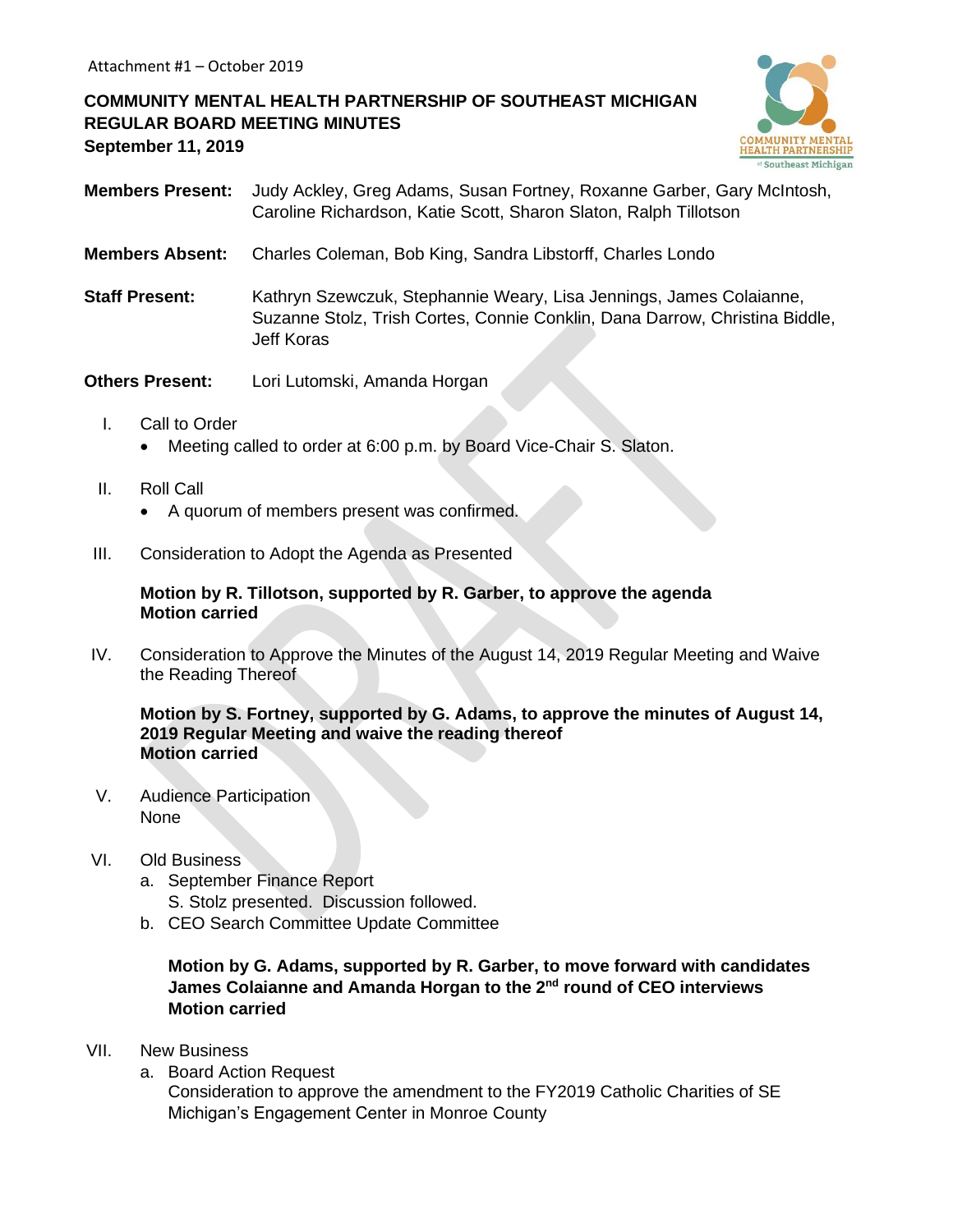**COMMUNITY MENTAL HEALTH PARTNERSHIP OF SOUTHEAST MICHIGAN REGULAR BOARD MEETING MINUTES September 11, 2019**



- **Members Present:** Judy Ackley, Greg Adams, Susan Fortney, Roxanne Garber, Gary McIntosh, Caroline Richardson, Katie Scott, Sharon Slaton, Ralph Tillotson
- **Members Absent:** Charles Coleman, Bob King, Sandra Libstorff, Charles Londo
- **Staff Present:** Kathryn Szewczuk, Stephannie Weary, Lisa Jennings, James Colaianne, Suzanne Stolz, Trish Cortes, Connie Conklin, Dana Darrow, Christina Biddle, Jeff Koras
- **Others Present:** Lori Lutomski, Amanda Horgan
	- I. Call to Order
		- Meeting called to order at 6:00 p.m. by Board Vice-Chair S. Slaton.
	- II. Roll Call
		- A quorum of members present was confirmed.
- III. Consideration to Adopt the Agenda as Presented

#### **Motion by R. Tillotson, supported by R. Garber, to approve the agenda Motion carried**

IV. Consideration to Approve the Minutes of the August 14, 2019 Regular Meeting and Waive the Reading Thereof

**Motion by S. Fortney, supported by G. Adams, to approve the minutes of August 14, 2019 Regular Meeting and waive the reading thereof Motion carried**

V. Audience Participation None

### VI. Old Business

- a. September Finance Report S. Stolz presented. Discussion followed.
- b. CEO Search Committee Update Committee

### **Motion by G. Adams, supported by R. Garber, to move forward with candidates James Colaianne and Amanda Horgan to the 2nd round of CEO interviews Motion carried**

- VII. New Business
	- a. Board Action Request

Consideration to approve the amendment to the FY2019 Catholic Charities of SE Michigan's Engagement Center in Monroe County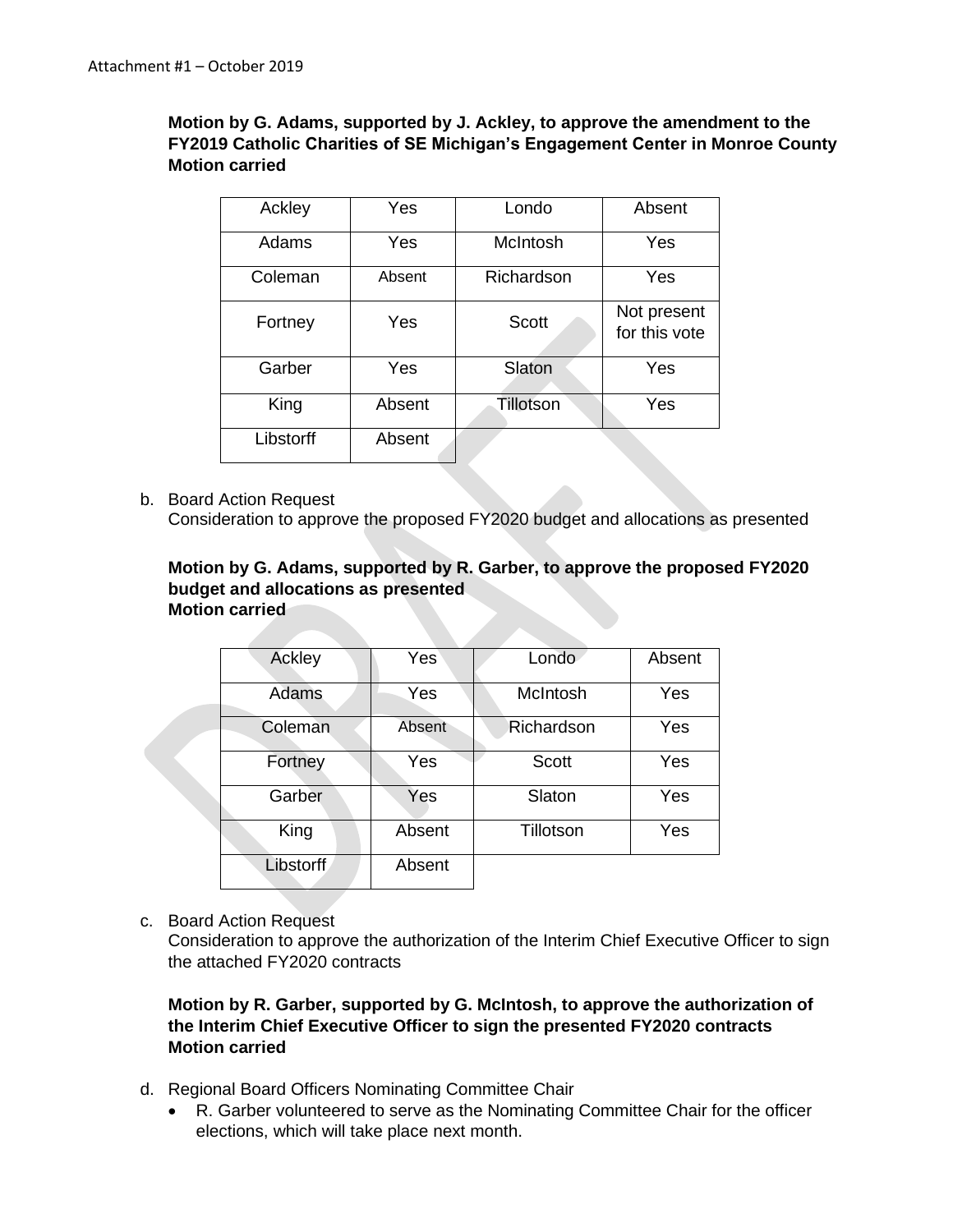## **Motion by G. Adams, supported by J. Ackley, to approve the amendment to the FY2019 Catholic Charities of SE Michigan's Engagement Center in Monroe County Motion carried**

| Ackley    | Yes    | Londo        | Absent                       |
|-----------|--------|--------------|------------------------------|
| Adams     | Yes    | McIntosh     | Yes                          |
| Coleman   | Absent | Richardson   | Yes                          |
| Fortney   | Yes    | <b>Scott</b> | Not present<br>for this vote |
| Garber    | Yes    | Slaton       | Yes                          |
| King      | Absent | Tillotson    | Yes                          |
| Libstorff | Absent |              |                              |

b. Board Action Request Consideration to approve the proposed FY2020 budget and allocations as presented

### **Motion by G. Adams, supported by R. Garber, to approve the proposed FY2020 budget and allocations as presented Motion carried**

| Ackley           | Yes    | Londo        | Absent |
|------------------|--------|--------------|--------|
| Adams            | Yes    | McIntosh     | Yes    |
| Coleman          | Absent | Richardson   | Yes    |
| Fortney          | Yes    | <b>Scott</b> | Yes    |
| Garber           | Yes    | Slaton       | Yes    |
| King             | Absent | Tillotson    | Yes    |
| <b>Libstorff</b> | Absent |              |        |

c. Board Action Request

Consideration to approve the authorization of the Interim Chief Executive Officer to sign the attached FY2020 contracts

# **Motion by R. Garber, supported by G. McIntosh, to approve the authorization of the Interim Chief Executive Officer to sign the presented FY2020 contracts Motion carried**

- d. Regional Board Officers Nominating Committee Chair
	- R. Garber volunteered to serve as the Nominating Committee Chair for the officer elections, which will take place next month.